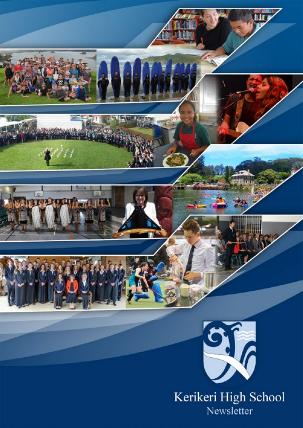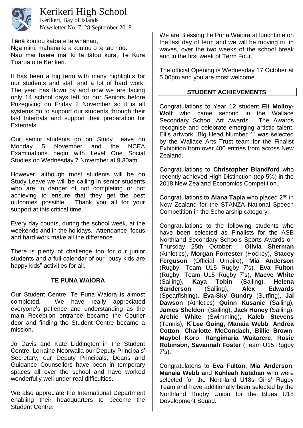

Kerikeri High School

Newsletter No. 7, 28 September 2018 Kerikeri, Bay of Islands

Tēnā koutou katoa e te whānau,

Ngā mihi, mahana ki a koutou o te tau hou. Nau mai haere mai ki tā tātou kura, Te Kura Tuarua o te Kerikeri.

It has been a big term with many highlights for our students and staff and a lot of hard work. The year has flown by and now we are facing only 14 school days left for our Seniors before Prizegiving on Friday 2 November so it is all systems go to support our students through their last Internals and support their preparation for Externals.

Our senior students go on Study Leave on Monday 5 November and the NCEA Examinations begin with Level One Social Studies on Wednesday 7 November at 9.30am.

However, although most students will be on Study Leave we will be calling in senior students who are in danger of not completing or not achieving to ensure that they get the best outcomes possible. Thank you all for your support at this critical time.

Every day counts, during the school week, at the weekends and in the holidays. Attendance, focus and hard work make all the difference.

There is plenty of challenge too for our junior students and a full calendar of our "busy kids are happy kids" activities for all.

# **TE PUNA WAIORA**

Our Student Centre, Te Puna Waiora is almost completed. We have really appreciated everyone's patience and understanding as the main Reception entrance became the Courier door and finding the Student Centre became a mission.

Jo Davis and Kate Liddington in the Student Centre, Lorraine Noorwalla our Deputy Principals' Secretary, our Deputy Principals, Deans and Guidance Counsellors have been in temporary spaces all over the school and have worked wonderfully well under real difficulties.

We also appreciate the International Department enabling their headquarters to become the Student Centre.

We are Blessing Te Puna Waiora at lunchtime on the last day of term and we will be moving in, in waves, over the two weeks of the school break and in the first week of Term Four.

The official Opening is Wednesday 17 October at 5.00pm and you are most welcome.

# **STUDENT ACHIEVEMENTS**

Congratulations to Year 12 student **Eli Molloy-Wolt** who came second in the Wallace Secondary School Art Awards. The Awards recognise and celebrate emerging artistic talent. Eli's artwork "Big Head Number 1" was selected by the Wallace Arts Trust team for the Finalist Exhibition from over 400 entries from across New Zealand.

Congratulations to **Christopher Blandford** who recently achieved High Distinction (top 5%) in the 2018 New Zealand Economics Competition.

Congratulations to **Alana Tapia** who placed 2nd in New Zealand for the STANZA National Speech Competition in the Scholarship category.

Congratulations to the following students who have been selected as Finalists for the ASB Northland Secondary Schools Sports Awards on<br>Thursday 25th October: **Olivia Sherman** Thursday 25th October: (Athletics), **Morgan Forrester** (Hockey), **Stacey Ferguson** (Official Umpire), **Mia Anderson** (Rugby, Team U15 Rugby 7's), **Eva Fulton** (Rugby, Team U15 Rugby 7's), **Maeve White** (Sailing), **Kaya Tobin** (Sailing), **Helena Sanderson** (Sailing), **Alex Edwards** (Spearfishing), **Eva-Sky Gundry** (Surfing), **Jai Dawson** (Athletics) **Quinn Kusanic** (Sailing), **James Sheldon** (Sailing), **Jack Honey** (Sailing), **Archie White** (Swimming), **Kaleb Stevens** (Tennis), **K'Lee Going, Manaia Webb**, **Andrea Cotton**, **Charlotte McCondach**, **Billie Brown**, **Maybel Koro**, **Rangimaria Waitarere**, **Rosie Robinson**, **Savannah Foster** (Team U15 Rugby  $7's$ ).

Congratulatons to **Eva Fulton, Mia Anderson**, **Manaia Webb** and **Kahleah Natahan** who were selected for the Northland U18s Girls' Rugby Team and have additionally been selected by the Northland Rugby Union for the Blues U18 Development Squad.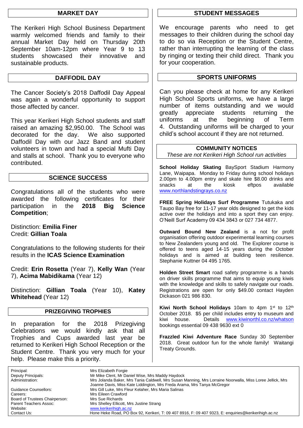## **MARKET DAY**

The Kerikeri High School Business Department warmly welcomed friends and family to their annual Market Day held on Thursday 20th September 10am-12pm where Year 9 to 13 students showcased their innovative and sustainable products.

#### **DAFFODIL DAY**

The Cancer Society's 2018 Daffodil Day Appeal was again a wonderful opportunity to support those affected by cancer.

This year Kerikeri High School students and staff raised an amazing \$2,950.00. The School was decorated for the day. We also supported Daffodil Day with our Jazz Band and student volunteers in town and had a special Mufti Day and stalls at school. Thank you to everyone who contributed.

## **SCIENCE SUCCESS**

Congratulations all of the students who were awarded the following certificates for their participation in the **2018 Big Science Competition**;

Distinction: **Emilia Finer** Credit: **Gillian Toala**

Congratulations to the following students for their results in the **ICAS Science Examination**

Credit: **Erin Rosetta** (Year 7), **Kelly Wan** (Year 7), **Acima Mabidikama** (Year 12)

Distinction: **Gillian Toala** (Year 10), **Katey Whitehead** (Year 12)

#### **PRIZEGIVING TROPHIES**

In preparation for the 2018 Prizegiving Celebrations we would kindly ask that all Trophies and Cups awarded last year be returned to Kerikeri High School Reception or the Student Centre. Thank you very much for your help. Please make this a priority.

### **STUDENT MESSAGES**

We encourage parents who need to get messages to their children during the school day to do so via Reception or the Student Centre, rather than interrupting the learning of the class by ringing or texting their child direct. Thank you for your cooperation.

### **SPORTS UNIFORMS**

Can you please check at home for any Kerikeri High School Sports uniforms, we have a large number of items outstanding and we would greatly appreciate students returning the uniforms at the beginning of Term 4. Outstanding uniforms will be charged to your child's school account if they are not returned.

## **COMMUNITY NOTICES**

*These are not Kerikeri High School run activities*

**School Holiday Skating** BaySport Stadium Harmony Lane, Waipapa. Monday to Friday during school holidays 2.00pm to 4.00pm entry and skate hire \$8.00 drinks and snacks at the kiosk eftpos available [www.northlandstingrays.co.nz](http://www.northlandstingrays.co.nz/)

**FREE Spring Holidays Surf Programme** Tutukaka and Taupo Bay free for 11-17 year olds designed to get the kids active over the holidays and into a sport they can enjoy. O'Neill Surf Academy 09 434 3843 or 027 734 4877.

**Outward Bound New Zealand** is a not for profit organisation offering outdoor experimental learning courses to New Zealanders young and old. The Explorer course is offered to teens aged 14-15 years during the October holidays and is aimed at building teen resilience. Stephanie Kuttner 04 495 1765.

**Holden Street Smart** road safety programme is a hands on driver skills programme that aims to equip young kiwis with the knowledge and skills to safely navigate our roads. Registrations are open for only \$49.00 contact Hayden Dickason 021 986 830.

**Kiwi North School Holidays** 10am to 4pm 1st to 12th October 2018. \$5 per child includes entry to museum and kiwi house. Details [www.kiwinorthl.co.nz/whatson](http://www.kiwinorthl.co.nz/whatson) bookings essential 09 438 9630 ext 0

**Frazzled Kiwi Adventure Race** Sunday 30 September 2018. Great outdoor fun for the whole family! Waitangi Treaty Grounds.

Principal: Mrs Elizabeth Forgie<br>
Deputy Principals: Mr Mike Clent, Mr Da Deputy Principals: Mr Mike Clent, Mr Daniel Wise, Mrs Maddy Haydock Mrs Jolanda Baker, Mrs Tania Caldwell, Mrs Susan Manning, Mrs Lorraine Noorwalla, Miss Loree Jellick, Mrs Joanne Davis, Miss Kate Liddington, Mrs Freda Arama, Mrs Tanya McGregor Guidance Counsellors: Mrs Gill Luke, Mrs Fleur Kelaher, Mrs Maria Salinas<br>Careers: Mrs Fileen Crawford Mrs Eileen Crawford Board of Trustees Chairperson: Mrs Sue Richards Parent Teachers Assoc: Mrs Shelley Ellicott, Mrs Justine Strang<br>Website: Www.kerikerihigh.ac.nz Website: [www.kerikerihigh.ac.nz](http://www.kerikerihigh.ac.nz/)<br>Contact Us: Contact Us: Contact Us: Contact Us: Contact Us: Contact Us: Contact Us: Contact Us: Contact Us: Co Hone Heke Road, PO Box 92, Kerikeri, T: 09 407 8916, F: 09 407 9323, E: enquiries@kerikerihigh.ac.nz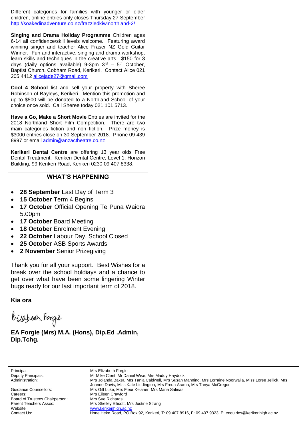Different categories for families with younger or older children, online entries only closes Thursday 27 September <http://soakedinadventure.co.nz/frazzledkiwinorthland-2/>

**Singing and Drama Holiday Programme** Children ages 6-14 all confidence/skill levels welcome. Featuring award winning singer and teacher Alice Fraser NZ Gold Guitar Winner. Fun and interactive, singing and drama workshop, learn skills and techniques in the creative arts. \$150 for 3 days (daily options available) 9-3pm 3<sup>rd</sup> – 5<sup>th</sup> October, Baptist Church, Cobham Road, Kerikeri. Contact Alice 021 205 4412 [alicejade27@gmail.com](mailto:alicejade27@gmail.com)

**Cool 4 School** list and sell your property with Sheree Robinson of Bayleys, Kerikeri. Mention this promotion and up to \$500 will be donated to a Northland School of your choice once sold. Call Sheree today 021 101 5713.

**Have a Go, Make a Short Movie** Entries are invited for the 2018 Northland Short Film Competition. There are two main categories fiction and non fiction. Prize money is \$3000 entries close on 30 September 2018. Phone 09 439 8997 or email [admin@anzactheatre.co.nz](mailto:admin@anzactheatre.co.nz)

**Kerikeri Dental Centre** are offering 13 year olds Free Dental Treatment. Kerikeri Dental Centre, Level 1, Horizon Building, 99 Kerikeri Road, Kerikeri 0230 09 407 8338.

#### **WHAT'S HAPPENING**

- **28 September** Last Day of Term 3
- **15 October** Term 4 Begins
- **17 October** Official Opening Te Puna Waiora 5.00pm
- **17 October** Board Meeting
- **18 October** Enrolment Evening
- **22 October** Labour Day, School Closed
- **25 October** ASB Sports Awards
- **2 November** Senior Prizegiving

Thank you for all your support. Best Wishes for a break over the school holdiays and a chance to get over what have been some lingering Winter bugs ready for our last important term of 2018.

**Kia ora**

bijabean Forgie

**EA Forgie (Mrs) M.A. (Hons), Dip.Ed .Admin, Dip.Tchg.**

Board of Trustees Chairperson: Mrs Sue Richards Website: [www.kerikerihigh.ac.nz](http://www.kerikerihigh.ac.nz/)

Principal: Mrs Elizabeth Forgie<br>
Deputy Principals: Mrs Mr Mike Clent, Mr Da Deputy Principals: Mr Mike Clent, Mr Daniel Wise, Mrs Maddy Haydock Mrs Jolanda Baker, Mrs Tania Caldwell, Mrs Susan Manning, Mrs Lorraine Noorwalla, Miss Loree Jellick, Mrs Joanne Davis, Miss Kate Liddington, Mrs Freda Arama, Mrs Tanya McGregor Guidance Counsellors: Mrs Gill Luke, Mrs Fleur Kelaher, Mrs Maria Salinas<br>Careers: Mrs Fileen Crawford Mrs Eileen Crawford Parent Teachers Assoc: Mrs Shelley Ellicott, Mrs Justine Strang Contact Us:Hone Heke Road, PO Box 92, Kerikeri, T: 09 407 8916, F: 09 407 9323, E: enquiries@kerikerihigh.ac.nz